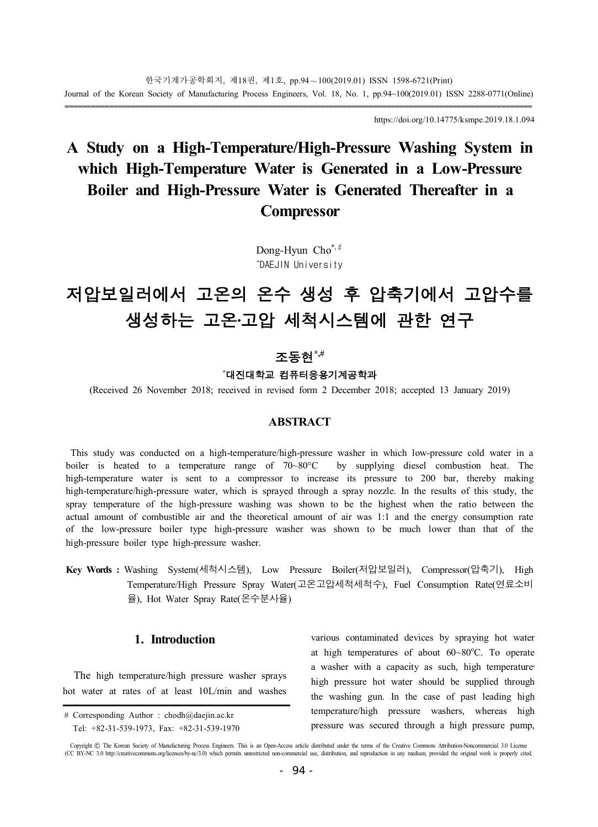https://doi.org/10.14775/ksmpe.2019.18.1.094

## **A Study on a High-Temperature/High-Pressure Washing System in which High-Temperature Water is Generated in a Low-Pressure Boiler and High-Pressure Water is Generated Thereafter in a Compressor**

Dong-Hyun Cho<sup>\*,#</sup> \* DAEJIN University

# 저압보일러에서 고온의 온수 생성 후 압축기에서 고압수를 생성하는 고온·고압 세척시스템에 관한 연구

### 조동현**\*,# \***대진대학교 컴퓨터응용기계공학과

(Received 26 November 2018; received in revised form 2 December 2018; accepted 13 January 2019)

#### **ABSTRACT**

This study was conducted on a high-temperature/high-pressure washer in which low-pressure cold water in a boiler is heated to a temperature range of 70~80°C by supplying diesel combustion heat. The high-temperature water is sent to a compressor to increase its pressure to 200 bar, thereby making high-temperature/high-pressure water, which is sprayed through a spray nozzle. In the results of this study, the spray temperature of the high-pressure washing was shown to be the highest when the ratio between the actual amount of combustible air and the theoretical amount of air was 1:1 and the energy consumption rate of the low-pressure boiler type high-pressure washer was shown to be much lower than that of the high-pressure boiler type high-pressure washer.

**Key Words :** Washing System(세척시스템), Low Pressure Boiler(저압보일러), Compressor(압축기), High Temperature/High Pressure Spray Water(고온고압세척세척수), Fuel Consumption Rate(연료소비 율), Hot Water Spray Rate(온수분사율)

#### **1. Introduction**

 The high temperature/high pressure washer sprays hot water at rates of at least 10L/min and washes various contaminated devices by spraying hot water at high temperatures of about  $60~80^{\circ}$ C. To operate a washer with a capacity as such, high temperature high pressure hot water should be supplied through the washing gun. In the case of past leading high temperature/high pressure washers, whereas high pressure was secured through a high pressure pump,

<sup>#</sup> Corresponding Author : chodh@daejin.ac.kr Tel: +82-31-539-1973, Fax: +82-31-539-1970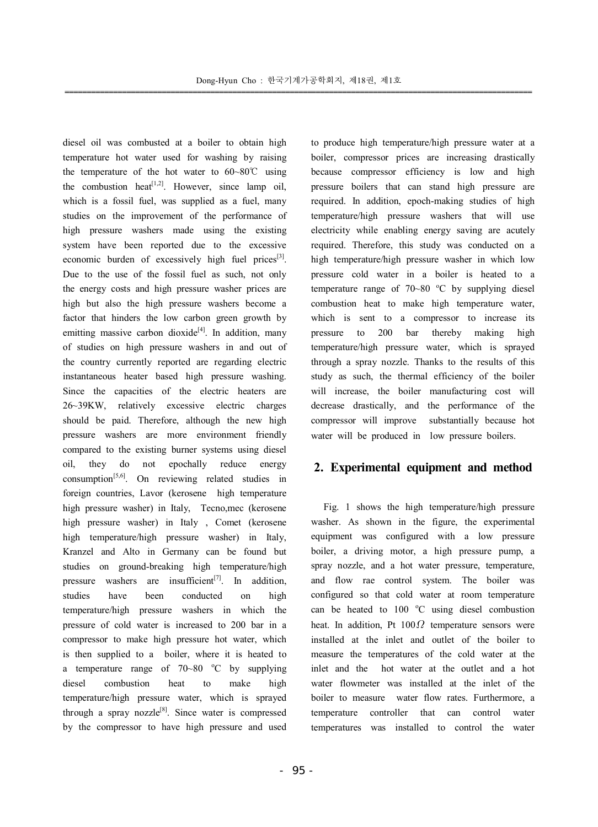diesel oil was combusted at a boiler to obtain high temperature hot water used for washing by raising the temperature of the hot water to  $60~\text{--}80^{\circ}\text{C}$  using the combustion heat<sup>[1,2]</sup>. However, since lamp oil, which is a fossil fuel, was supplied as a fuel, many studies on the improvement of the performance of high pressure washers made using the existing system have been reported due to the excessive economic burden of excessively high fuel prices<sup>[3]</sup>. Due to the use of the fossil fuel as such, not only the energy costs and high pressure washer prices are high but also the high pressure washers become a factor that hinders the low carbon green growth by emitting massive carbon dioxide<sup>[4]</sup>. In addition, many of studies on high pressure washers in and out of the country currently reported are regarding electric instantaneous heater based high pressure washing. Since the capacities of the electric heaters are 26~39KW, relatively excessive electric charges should be paid. Therefore, although the new high pressure washers are more environment friendly compared to the existing burner systems using diesel oil, they do not epochally reduce energy consumption<sup>[5,6]</sup>. On reviewing related studies in foreign countries, Lavor (kerosene high temperature high pressure washer) in Italy, Tecno,mec (kerosene high pressure washer) in Italy , Comet (kerosene high temperature/high pressure washer) in Italy, Kranzel and Alto in Germany can be found but studies on ground-breaking high temperature/high pressure washers are insufficient $[7]$ . In addition, studies have been conducted on high temperature/high pressure washers in which the pressure of cold water is increased to 200 bar in a compressor to make high pressure hot water, which is then supplied to a boiler, where it is heated to a temperature range of  $70-80$  °C by supplying diesel combustion heat to make high temperature/high pressure water, which is sprayed through a spray nozzle $^{[8]}$ . Since water is compressed by the compressor to have high pressure and used

to produce high temperature/high pressure water at a boiler, compressor prices are increasing drastically because compressor efficiency is low and high pressure boilers that can stand high pressure are required. In addition, epoch-making studies of high temperature/high pressure washers that will use electricity while enabling energy saving are acutely required. Therefore, this study was conducted on a high temperature/high pressure washer in which low pressure cold water in a boiler is heated to a temperature range of  $70~80$  °C by supplying diesel combustion heat to make high temperature water, which is sent to a compressor to increase its pressure to 200 bar thereby making high temperature/high pressure water, which is sprayed through a spray nozzle. Thanks to the results of this study as such, the thermal efficiency of the boiler will increase, the boiler manufacturing cost will decrease drastically, and the performance of the compressor will improve substantially because hot water will be produced in low pressure boilers.

#### **2. Experimental equipment and method**

 Fig. 1 shows the high temperature/high pressure washer. As shown in the figure, the experimental equipment was configured with a low pressure boiler, a driving motor, a high pressure pump, a spray nozzle, and a hot water pressure, temperature, and flow rae control system. The boiler was configured so that cold water at room temperature can be heated to  $100 \degree C$  using diesel combustion heat. In addition, Pt  $100 \Omega$  temperature sensors were installed at the inlet and outlet of the boiler to measure the temperatures of the cold water at the inlet and the hot water at the outlet and a hot water flowmeter was installed at the inlet of the boiler to measure water flow rates. Furthermore, a temperature controller that can control water temperatures was installed to control the water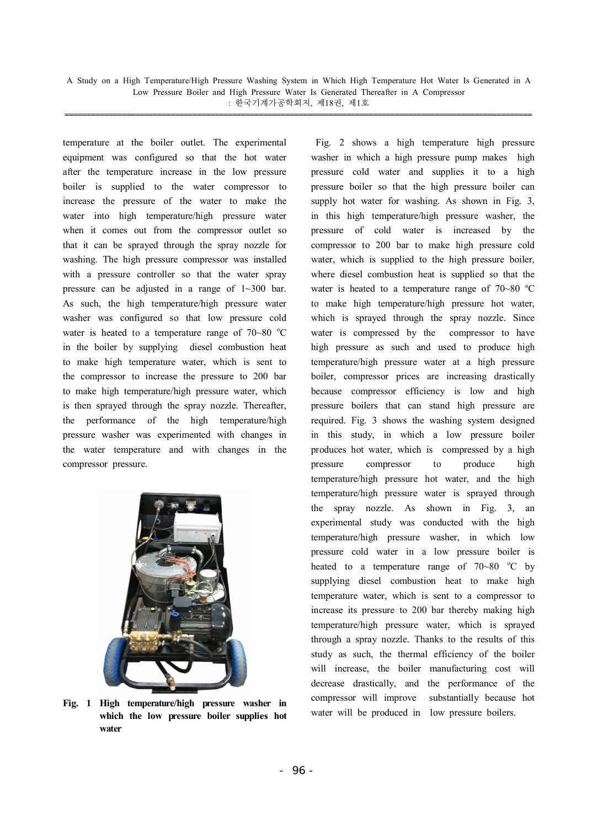A Study on a High Temperature/High Pressure Washing System in Which High Temperature Hot Water Is Generated in A Low Pressure Boiler and High Pressure Water Is Generated Thereafter in A Compressor  $:$  한국기계가공학회지, 제18권, 제1호

temperature at the boiler outlet. The experimental equipment was configured so that the hot water after the temperature increase in the low pressure boiler is supplied to the water compressor to increase the pressure of the water to make the water into high temperature/high pressure water when it comes out from the compressor outlet so that it can be sprayed through the spray nozzle for washing. The high pressure compressor was installed with a pressure controller so that the water spray pressure can be adjusted in a range of 1~300 bar. As such, the high temperature/high pressure water washer was configured so that low pressure cold water is heated to a temperature range of  $70-80$  °C in the boiler by supplying diesel combustion heat to make high temperature water, which is sent to the compressor to increase the pressure to 200 bar to make high temperature/high pressure water, which is then sprayed through the spray nozzle. Thereafter, the performance of the high temperature/high pressure washer was experimented with changes in the water temperature and with changes in the compressor pressure.



**Fig. 1 High temperature/high pressure washer in which the low pressure boiler supplies hot water**

 Fig. 2 shows a high temperature high pressure washer in which a high pressure pump makes high pressure cold water and supplies it to a high pressure boiler so that the high pressure boiler can supply hot water for washing. As shown in Fig. 3, in this high temperature/high pressure washer, the pressure of cold water is increased by the compressor to 200 bar to make high pressure cold water, which is supplied to the high pressure boiler, where diesel combustion heat is supplied so that the water is heated to a temperature range of  $70-80$  °C to make high temperature/high pressure hot water, which is sprayed through the spray nozzle. Since water is compressed by the compressor to have high pressure as such and used to produce high temperature/high pressure water at a high pressure boiler, compressor prices are increasing drastically because compressor efficiency is low and high pressure boilers that can stand high pressure are required. Fig. 3 shows the washing system designed in this study, in which a low pressure boiler produces hot water, which is compressed by a high pressure compressor to produce high temperature/high pressure hot water, and the high temperature/high pressure water is sprayed through the spray nozzle. As shown in Fig. 3, an experimental study was conducted with the high temperature/high pressure washer, in which low pressure cold water in a low pressure boiler is heated to a temperature range of  $70~80$  °C by supplying diesel combustion heat to make high temperature water, which is sent to a compressor to increase its pressure to 200 bar thereby making high temperature/high pressure water, which is sprayed through a spray nozzle. Thanks to the results of this study as such, the thermal efficiency of the boiler will increase, the boiler manufacturing cost will decrease drastically, and the performance of the compressor will improve substantially because hot water will be produced in low pressure boilers.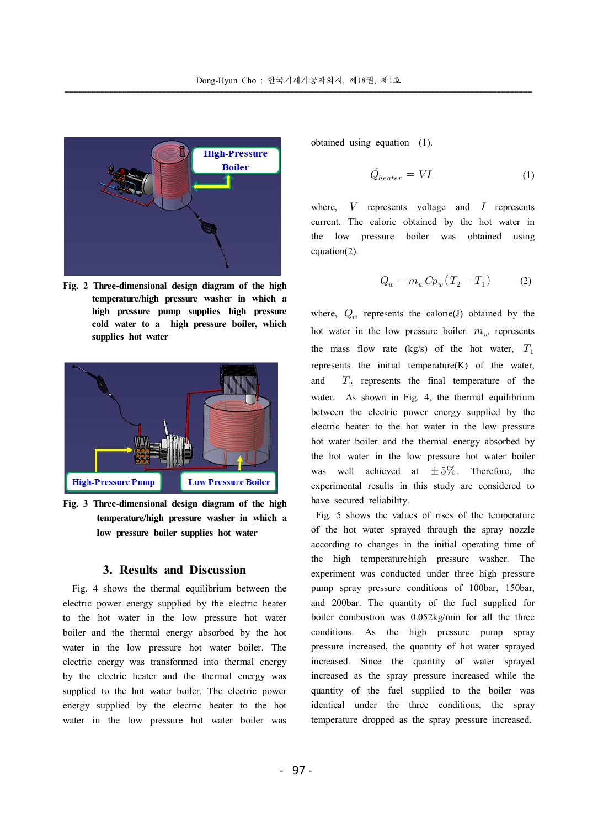

**Fig. 2 Three-dimensional design diagram of the high temperature/high pressure washer in which a high pressure pump supplies high pressure cold water to a high pressure boiler, which supplies hot water**



**Fig. 3 Three-dimensional design diagram of the high temperature/high pressure washer in which a low pressure boiler supplies hot water**

#### **3. Results and Discussion**

 Fig. 4 shows the thermal equilibrium between the electric power energy supplied by the electric heater to the hot water in the low pressure hot water boiler and the thermal energy absorbed by the hot water in the low pressure hot water boiler. The electric energy was transformed into thermal energy by the electric heater and the thermal energy was supplied to the hot water boiler. The electric power energy supplied by the electric heater to the hot water in the low pressure hot water boiler was obtained using equation (1).

$$
\dot{Q}_{heater} = VI \tag{1}
$$

where,  $V$  represents voltage and  $I$  represents current. The calorie obtained by the hot water in the low pressure boiler was obtained using equation(2).

$$
Q_w = m_w C p_w (T_2 - T_1) \tag{2}
$$

where,  $Q_w$  represents the calorie(J) obtained by the hot water in the low pressure boiler.  $m_w$  represents the mass flow rate (kg/s) of the hot water,  $T_1$ represents the initial temperature(K) of the water, and  $T<sub>2</sub>$  represents the final temperature of the water. As shown in Fig. 4, the thermal equilibrium between the electric power energy supplied by the electric heater to the hot water in the low pressure hot water boiler and the thermal energy absorbed by the hot water in the low pressure hot water boiler was well achieved at  $\pm 5\%$ . Therefore, the experimental results in this study are considered to have secured reliability.

 Fig. 5 shows the values of rises of the temperature of the hot water sprayed through the spray nozzle according to changes in the initial operating time of the high temperature-high pressure washer. The experiment was conducted under three high pressure pump spray pressure conditions of 100bar, 150bar, and 200bar. The quantity of the fuel supplied for boiler combustion was 0.052kg/min for all the three conditions. As the high pressure pump spray pressure increased, the quantity of hot water sprayed increased. Since the quantity of water sprayed increased as the spray pressure increased while the quantity of the fuel supplied to the boiler was identical under the three conditions, the spray temperature dropped as the spray pressure increased.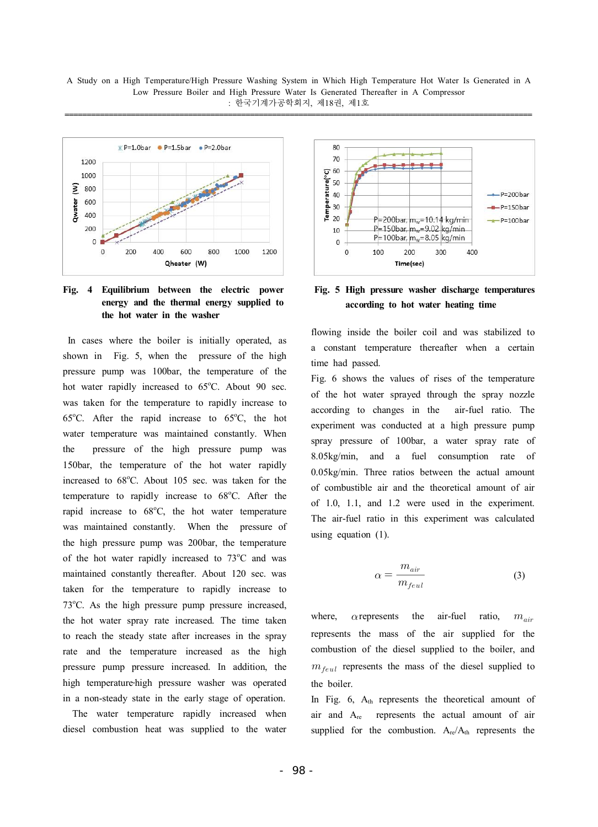

#### **Fig. 4 Equilibrium between the electric power energy and the thermal energy supplied to the hot water in the washer**

 In cases where the boiler is initially operated, as shown in Fig. 5, when the pressure of the high pressure pump was 100bar, the temperature of the hot water rapidly increased to  $65^{\circ}$ C. About 90 sec. was taken for the temperature to rapidly increase to 65 $^{\circ}$ C. After the rapid increase to 65 $^{\circ}$ C, the hot water temperature was maintained constantly. When the pressure of the high pressure pump was 150bar, the temperature of the hot water rapidly increased to  $68^{\circ}$ C. About 105 sec. was taken for the temperature to rapidly increase to 68°C. After the rapid increase to 68°C, the hot water temperature was maintained constantly. When the pressure of the high pressure pump was 200bar, the temperature of the hot water rapidly increased to  $73^{\circ}$ C and was maintained constantly thereafter. About 120 sec. was taken for the temperature to rapidly increase to  $73^{\circ}$ C. As the high pressure pump pressure increased, the hot water spray rate increased. The time taken to reach the steady state after increases in the spray rate and the temperature increased as the high pressure pump pressure increased. In addition, the high temperature high pressure washer was operated in a non-steady state in the early stage of operation.

 The water temperature rapidly increased when diesel combustion heat was supplied to the water



**Fig. 5 High pressure washer discharge temperatures according to hot water heating time**

flowing inside the boiler coil and was stabilized to a constant temperature thereafter when a certain time had passed.

Fig. 6 shows the values of rises of the temperature of the hot water sprayed through the spray nozzle according to changes in the air-fuel ratio. The experiment was conducted at a high pressure pump spray pressure of 100bar, a water spray rate of 8.05kg/min, and a fuel consumption rate of 0.05kg/min. Three ratios between the actual amount of combustible air and the theoretical amount of air of 1.0, 1.1, and 1.2 were used in the experiment. The air-fuel ratio in this experiment was calculated using equation (1).

$$
\alpha = \frac{m_{air}}{m_{feul}} \tag{3}
$$

where,  $\alpha$  represents the air-fuel ratio,  $m_{air}$ represents the mass of the air supplied for the combustion of the diesel supplied to the boiler, and  $m_{\text{f}eul}$  represents the mass of the diesel supplied to the boiler.

In Fig. 6, Ath represents the theoretical amount of air and Are represents the actual amount of air supplied for the combustion.  $A_{re}/A_{th}$  represents the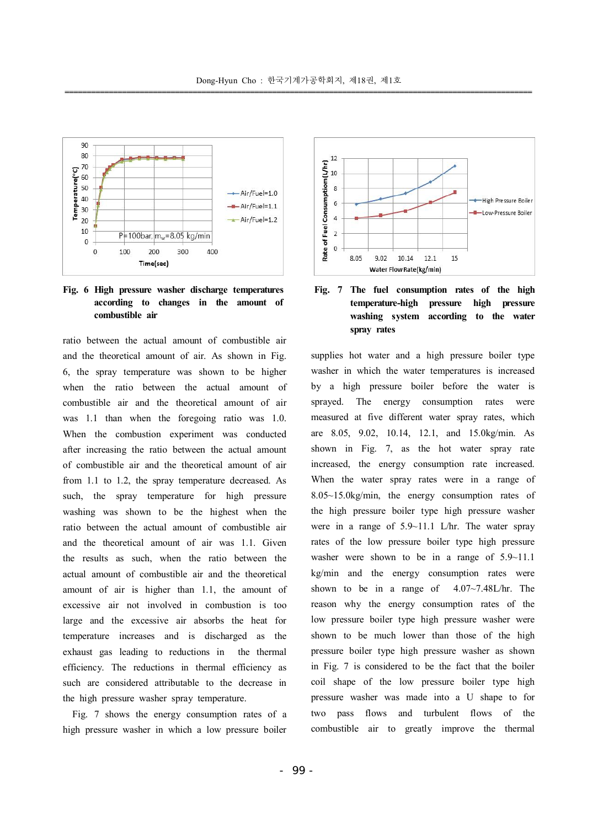

#### **Fig. 6 High pressure washer discharge temperatures according to changes in the amount of combustible air**

ratio between the actual amount of combustible air and the theoretical amount of air. As shown in Fig. 6, the spray temperature was shown to be higher when the ratio between the actual amount of combustible air and the theoretical amount of air was 1.1 than when the foregoing ratio was 1.0. When the combustion experiment was conducted after increasing the ratio between the actual amount of combustible air and the theoretical amount of air from 1.1 to 1.2, the spray temperature decreased. As such, the spray temperature for high pressure washing was shown to be the highest when the ratio between the actual amount of combustible air and the theoretical amount of air was 1.1. Given the results as such, when the ratio between the actual amount of combustible air and the theoretical amount of air is higher than 1.1, the amount of excessive air not involved in combustion is too large and the excessive air absorbs the heat for temperature increases and is discharged as the exhaust gas leading to reductions in the thermal efficiency. The reductions in thermal efficiency as such are considered attributable to the decrease in the high pressure washer spray temperature.

 Fig. 7 shows the energy consumption rates of a high pressure washer in which a low pressure boiler



#### **Fig. 7 The fuel consumption rates of the high temperature-high pressure high pressure washing system according to the water spray rates**

supplies hot water and a high pressure boiler type washer in which the water temperatures is increased by a high pressure boiler before the water is sprayed. The energy consumption rates were measured at five different water spray rates, which are 8.05, 9.02, 10.14, 12.1, and 15.0kg/min. As shown in Fig. 7, as the hot water spray rate increased, the energy consumption rate increased. When the water spray rates were in a range of 8.05~15.0kg/min, the energy consumption rates of the high pressure boiler type high pressure washer were in a range of 5.9~11.1 L/hr. The water spray rates of the low pressure boiler type high pressure washer were shown to be in a range of  $5.9~11.1$ kg/min and the energy consumption rates were shown to be in a range of 4.07~7.48L/hr. The reason why the energy consumption rates of the low pressure boiler type high pressure washer were shown to be much lower than those of the high pressure boiler type high pressure washer as shown in Fig. 7 is considered to be the fact that the boiler coil shape of the low pressure boiler type high pressure washer was made into a U shape to for two pass flows and turbulent flows of the combustible air to greatly improve the thermal